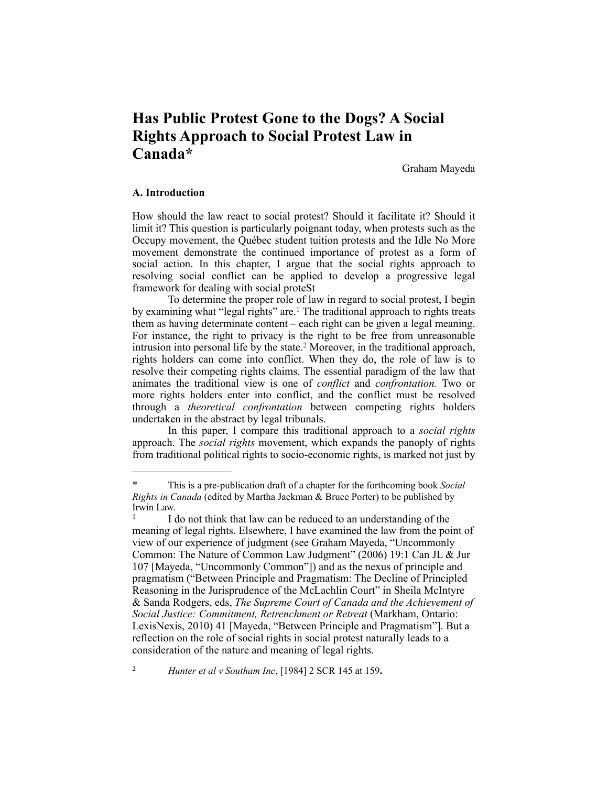# **Has Public Protest Gone to the Dogs? A Social Rights Approach to Social Protest Law in Canada\***

Graham Mayeda

## **A. Introduction**

How should the law react to social protest? Should it facilitate it? Should it limit it? This question is particularly poignant today, when protests such as the Occupy movement, the Québec student tuition protests and the Idle No More movement demonstrate the continued importance of protest as a form of social action. In this chapter, I argue that the social rights approach to resolving social conflict can be applied to develop a progressive legal framework for dealing with social proteSt

To determine the proper role of law in regard to social protest, I begin by examining what "legal rights" are.<sup>1</sup> The traditional approach to rights treats them as having determinate content – each right can be given a legal meaning. For instance, the right to privacy is the right to be free from unreasonable intrusion into personal life by the state.<sup>2</sup> Moreover, in the traditional approach, rights holders can come into conflict. When they do, the role of law is to resolve their competing rights claims. The essential paradigm of the law that animates the traditional view is one of *conflict* and *confrontation.* Two or more rights holders enter into conflict, and the conflict must be resolved through a *theoretical confrontation* between competing rights holders undertaken in the abstract by legal tribunals.

In this paper, I compare this traditional approach to a *social rights* approach. The *social rights* movement, which expands the panoply of rights from traditional political rights to socio-economic rights, is marked not just by

*Hunter et al v Southam Inc*, [1984] 2 SCR 145 at 159**.** <sup>2</sup>

This is a pre-publication draft of a chapter for the forthcoming book *Social Rights in Canada* (edited by Martha Jackman & Bruce Porter) to be published by Irwin Law.

I do not think that law can be reduced to an understanding of the meaning of legal rights. Elsewhere, I have examined the law from the point of view of our experience of judgment (see Graham Mayeda, "Uncommonly Common: The Nature of Common Law Judgment" (2006) 19:1 Can JL & Jur 107 [Mayeda, "Uncommonly Common"]) and as the nexus of principle and pragmatism ("Between Principle and Pragmatism: The Decline of Principled Reasoning in the Jurisprudence of the McLachlin Court" in Sheila McIntyre & Sanda Rodgers, eds, *The Supreme Court of Canada and the Achievement of Social Justice: Commitment, Retrenchment or Retreat* (Markham, Ontario: LexisNexis, 2010) 41 [Mayeda, "Between Principle and Pragmatism"]. But a reflection on the role of social rights in social protest naturally leads to a consideration of the nature and meaning of legal rights.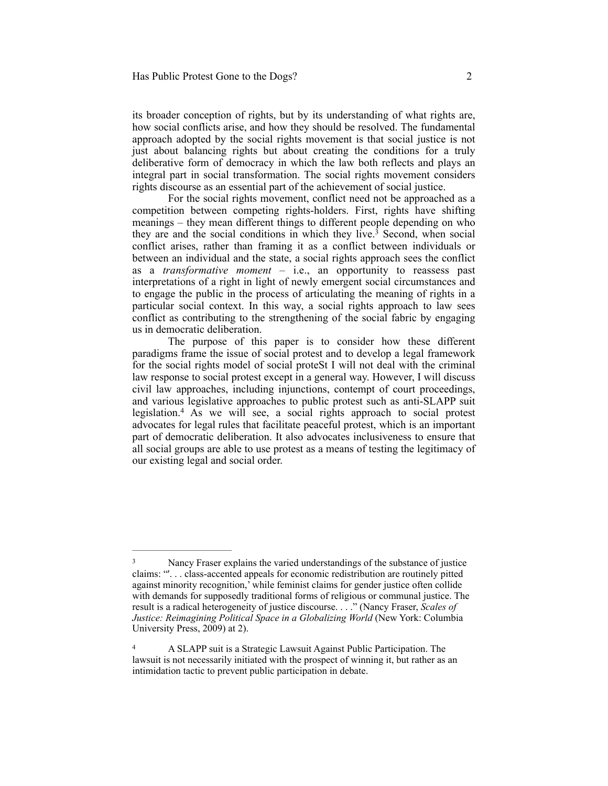its broader conception of rights, but by its understanding of what rights are, how social conflicts arise, and how they should be resolved. The fundamental approach adopted by the social rights movement is that social justice is not just about balancing rights but about creating the conditions for a truly deliberative form of democracy in which the law both reflects and plays an integral part in social transformation. The social rights movement considers rights discourse as an essential part of the achievement of social justice.

For the social rights movement, conflict need not be approached as a competition between competing rights-holders. First, rights have shifting meanings – they mean different things to different people depending on who they are and the social conditions in which they live.<sup>3</sup> Second, when social conflict arises, rather than framing it as a conflict between individuals or between an individual and the state, a social rights approach sees the conflict as a *transformative moment* – i.e., an opportunity to reassess past interpretations of a right in light of newly emergent social circumstances and to engage the public in the process of articulating the meaning of rights in a particular social context. In this way, a social rights approach to law sees conflict as contributing to the strengthening of the social fabric by engaging us in democratic deliberation.

The purpose of this paper is to consider how these different paradigms frame the issue of social protest and to develop a legal framework for the social rights model of social proteSt I will not deal with the criminal law response to social protest except in a general way. However, I will discuss civil law approaches, including injunctions, contempt of court proceedings, and various legislative approaches to public protest such as anti-SLAPP suit legislation.<sup>4</sup> As we will see, a social rights approach to social protest advocates for legal rules that facilitate peaceful protest, which is an important part of democratic deliberation. It also advocates inclusiveness to ensure that all social groups are able to use protest as a means of testing the legitimacy of our existing legal and social order.

<sup>&</sup>lt;sup>3</sup> Nancy Fraser explains the varied understandings of the substance of justice claims: "'. . . class-accented appeals for economic redistribution are routinely pitted against minority recognition,' while feminist claims for gender justice often collide with demands for supposedly traditional forms of religious or communal justice. The result is a radical heterogeneity of justice discourse. . . ." (Nancy Fraser, *Scales of Justice: Reimagining Political Space in a Globalizing World* (New York: Columbia University Press, 2009) at 2).

A SLAPP suit is a Strategic Lawsuit Against Public Participation. The 4 lawsuit is not necessarily initiated with the prospect of winning it, but rather as an intimidation tactic to prevent public participation in debate.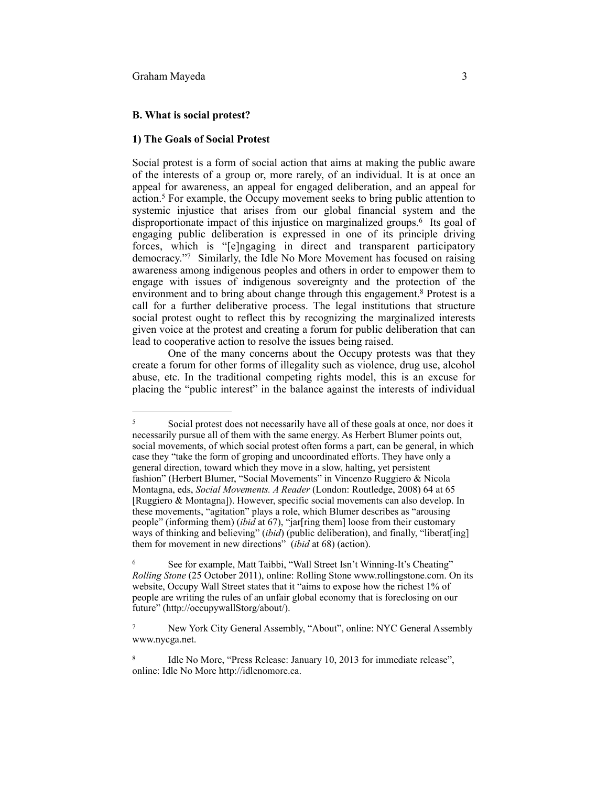#### **B. What is social protest?**

## **1) The Goals of Social Protest**

Social protest is a form of social action that aims at making the public aware of the interests of a group or, more rarely, of an individual. It is at once an appeal for awareness, an appeal for engaged deliberation, and an appeal for action.<sup>5</sup> For example, the Occupy movement seeks to bring public attention to systemic injustice that arises from our global financial system and the disproportionate impact of this injustice on marginalized groups.<sup>6</sup> Its goal of engaging public deliberation is expressed in one of its principle driving forces, which is "[e]ngaging in direct and transparent participatory democracy."<sup>7</sup> Similarly, the Idle No More Movement has focused on raising awareness among indigenous peoples and others in order to empower them to engage with issues of indigenous sovereignty and the protection of the environment and to bring about change through this engagement.<sup>8</sup> Protest is a call for a further deliberative process. The legal institutions that structure social protest ought to reflect this by recognizing the marginalized interests given voice at the protest and creating a forum for public deliberation that can lead to cooperative action to resolve the issues being raised.

One of the many concerns about the Occupy protests was that they create a forum for other forms of illegality such as violence, drug use, alcohol abuse, etc. In the traditional competing rights model, this is an excuse for placing the "public interest" in the balance against the interests of individual

Social protest does not necessarily have all of these goals at once, nor does it 5 necessarily pursue all of them with the same energy. As Herbert Blumer points out, social movements, of which social protest often forms a part, can be general, in which case they "take the form of groping and uncoordinated efforts. They have only a general direction, toward which they move in a slow, halting, yet persistent fashion" (Herbert Blumer, "Social Movements" in Vincenzo Ruggiero & Nicola Montagna, eds, *Social Movements. A Reader* (London: Routledge, 2008) 64 at 65 [Ruggiero & Montagna]). However, specific social movements can also develop. In these movements, "agitation" plays a role, which Blumer describes as "arousing people" (informing them) (*ibid* at 67), "jar[ring them] loose from their customary ways of thinking and believing" (*ibid*) (public deliberation), and finally, "liberat[ing] them for movement in new directions" (*ibid* at 68) (action).

See for example, Matt Taibbi, "Wall Street Isn't Winning-It's Cheating" 6 *Rolling Stone* (25 October 2011), online: Rolling Stone [www.rollingstone.com](http://www.rollingstone.com). On its website, Occupy Wall Street states that it "aims to expose how the richest 1% of people are writing the rules of an unfair global economy that is foreclosing on our future" (http://occupywallStorg/about/).

New York City General Assembly, "About", online: NYC General Assembly 7 [www.nycga.net](http://www.nycga.net).

<sup>&</sup>lt;sup>8</sup> Idle No More, "Press Release: January 10, 2013 for immediate release", online: Idle No More http://idlenomore.ca.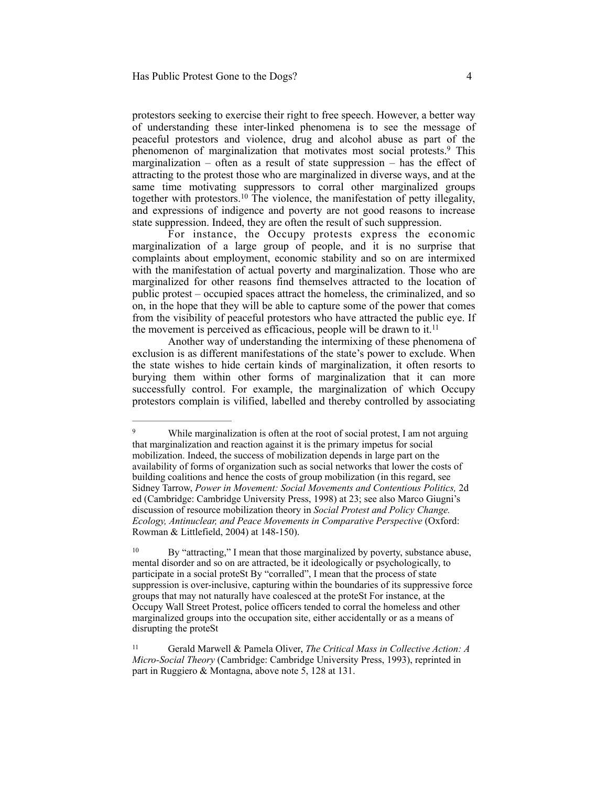protestors seeking to exercise their right to free speech. However, a better way of understanding these inter-linked phenomena is to see the message of peaceful protestors and violence, drug and alcohol abuse as part of the phenomenon of marginalization that motivates most social protests.<sup>9</sup> This marginalization – often as a result of state suppression – has the effect of attracting to the protest those who are marginalized in diverse ways, and at the same time motivating suppressors to corral other marginalized groups together with protestors.<sup>10</sup> The violence, the manifestation of petty illegality, and expressions of indigence and poverty are not good reasons to increase state suppression. Indeed, they are often the result of such suppression.

For instance, the Occupy protests express the economic marginalization of a large group of people, and it is no surprise that complaints about employment, economic stability and so on are intermixed with the manifestation of actual poverty and marginalization. Those who are marginalized for other reasons find themselves attracted to the location of public protest – occupied spaces attract the homeless, the criminalized, and so on, in the hope that they will be able to capture some of the power that comes from the visibility of peaceful protestors who have attracted the public eye. If the movement is perceived as efficacious, people will be drawn to it.<sup>11</sup>

Another way of understanding the intermixing of these phenomena of exclusion is as different manifestations of the state's power to exclude. When the state wishes to hide certain kinds of marginalization, it often resorts to burying them within other forms of marginalization that it can more successfully control. For example, the marginalization of which Occupy protestors complain is vilified, labelled and thereby controlled by associating

<sup>&</sup>lt;sup>9</sup> While marginalization is often at the root of social protest, I am not arguing that marginalization and reaction against it is the primary impetus for social mobilization. Indeed, the success of mobilization depends in large part on the availability of forms of organization such as social networks that lower the costs of building coalitions and hence the costs of group mobilization (in this regard, see Sidney Tarrow, *Power in Movement: Social Movements and Contentious Politics,* 2d ed (Cambridge: Cambridge University Press, 1998) at 23; see also Marco Giugni's discussion of resource mobilization theory in *Social Protest and Policy Change. Ecology, Antinuclear, and Peace Movements in Comparative Perspective* (Oxford: Rowman & Littlefield, 2004) at 148-150).

<sup>&</sup>lt;sup>10</sup> By "attracting," I mean that those marginalized by poverty, substance abuse, mental disorder and so on are attracted, be it ideologically or psychologically, to participate in a social proteSt By "corralled", I mean that the process of state suppression is over-inclusive, capturing within the boundaries of its suppressive force groups that may not naturally have coalesced at the proteSt For instance, at the Occupy Wall Street Protest, police officers tended to corral the homeless and other marginalized groups into the occupation site, either accidentally or as a means of disrupting the proteSt

Gerald Marwell & Pamela Oliver, *The Critical Mass in Collective Action: A* <sup>11</sup> *Micro-Social Theory* (Cambridge: Cambridge University Press, 1993), reprinted in part in Ruggiero & Montagna, above note 5, 128 at 131.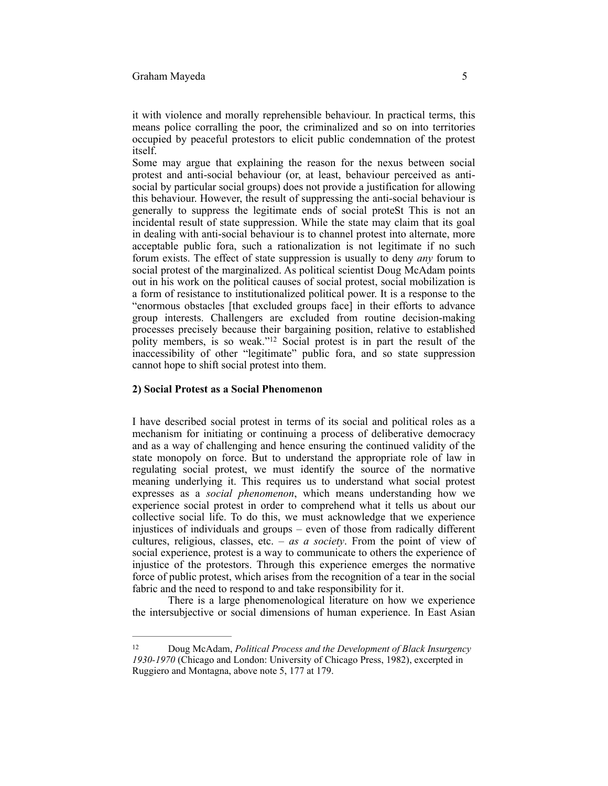it with violence and morally reprehensible behaviour. In practical terms, this means police corralling the poor, the criminalized and so on into territories occupied by peaceful protestors to elicit public condemnation of the protest itself.

Some may argue that explaining the reason for the nexus between social protest and anti-social behaviour (or, at least, behaviour perceived as antisocial by particular social groups) does not provide a justification for allowing this behaviour. However, the result of suppressing the anti-social behaviour is generally to suppress the legitimate ends of social proteSt This is not an incidental result of state suppression. While the state may claim that its goal in dealing with anti-social behaviour is to channel protest into alternate, more acceptable public fora, such a rationalization is not legitimate if no such forum exists. The effect of state suppression is usually to deny *any* forum to social protest of the marginalized. As political scientist Doug McAdam points out in his work on the political causes of social protest, social mobilization is a form of resistance to institutionalized political power. It is a response to the "enormous obstacles [that excluded groups face] in their efforts to advance group interests. Challengers are excluded from routine decision-making processes precisely because their bargaining position, relative to established polity members, is so weak."<sup>12</sup> Social protest is in part the result of the inaccessibility of other "legitimate" public fora, and so state suppression cannot hope to shift social protest into them.

## **2) Social Protest as a Social Phenomenon**

I have described social protest in terms of its social and political roles as a mechanism for initiating or continuing a process of deliberative democracy and as a way of challenging and hence ensuring the continued validity of the state monopoly on force. But to understand the appropriate role of law in regulating social protest, we must identify the source of the normative meaning underlying it. This requires us to understand what social protest expresses as a *social phenomenon*, which means understanding how we experience social protest in order to comprehend what it tells us about our collective social life. To do this, we must acknowledge that we experience injustices of individuals and groups – even of those from radically different cultures, religious, classes, etc. – *as a society*. From the point of view of social experience, protest is a way to communicate to others the experience of injustice of the protestors. Through this experience emerges the normative force of public protest, which arises from the recognition of a tear in the social fabric and the need to respond to and take responsibility for it.

There is a large phenomenological literature on how we experience the intersubjective or social dimensions of human experience. In East Asian

Doug McAdam, *Political Process and the Development of Black Insurgency* <sup>12</sup> *1930-1970* (Chicago and London: University of Chicago Press, 1982), excerpted in Ruggiero and Montagna, above note 5, 177 at 179.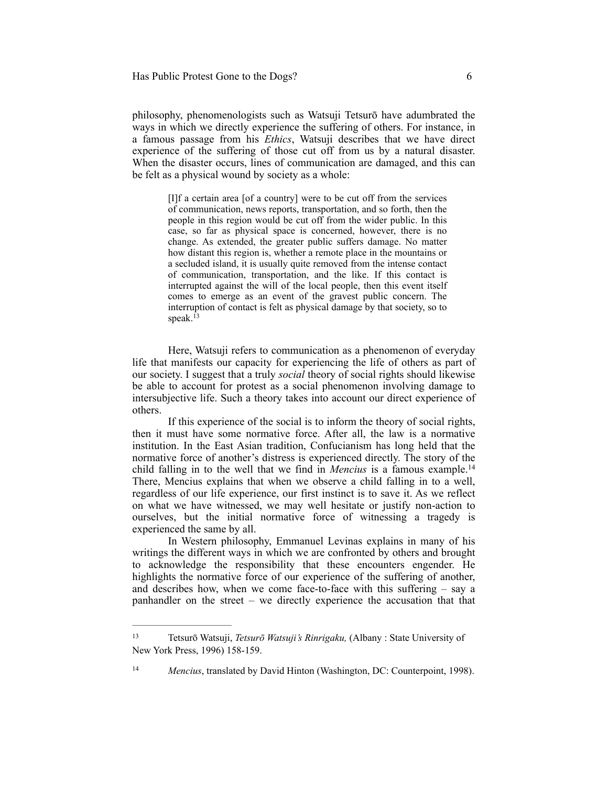philosophy, phenomenologists such as Watsuji Tetsurō have adumbrated the ways in which we directly experience the suffering of others. For instance, in a famous passage from his *Ethics*, Watsuji describes that we have direct experience of the suffering of those cut off from us by a natural disaster. When the disaster occurs, lines of communication are damaged, and this can be felt as a physical wound by society as a whole:

> [I]f a certain area [of a country] were to be cut off from the services of communication, news reports, transportation, and so forth, then the people in this region would be cut off from the wider public. In this case, so far as physical space is concerned, however, there is no change. As extended, the greater public suffers damage. No matter how distant this region is, whether a remote place in the mountains or a secluded island, it is usually quite removed from the intense contact of communication, transportation, and the like. If this contact is interrupted against the will of the local people, then this event itself comes to emerge as an event of the gravest public concern. The interruption of contact is felt as physical damage by that society, so to speak. $^{13}$

Here, Watsuji refers to communication as a phenomenon of everyday life that manifests our capacity for experiencing the life of others as part of our society. I suggest that a truly *social* theory of social rights should likewise be able to account for protest as a social phenomenon involving damage to intersubjective life. Such a theory takes into account our direct experience of others.

If this experience of the social is to inform the theory of social rights, then it must have some normative force. After all, the law is a normative institution. In the East Asian tradition, Confucianism has long held that the normative force of another's distress is experienced directly. The story of the child falling in to the well that we find in *Mencius* is a famous example.14 There, Mencius explains that when we observe a child falling in to a well, regardless of our life experience, our first instinct is to save it. As we reflect on what we have witnessed, we may well hesitate or justify non-action to ourselves, but the initial normative force of witnessing a tragedy is experienced the same by all.

In Western philosophy, Emmanuel Levinas explains in many of his writings the different ways in which we are confronted by others and brought to acknowledge the responsibility that these encounters engender. He highlights the normative force of our experience of the suffering of another, and describes how, when we come face-to-face with this suffering – say a panhandler on the street – we directly experience the accusation that that

Tetsurō Watsuji, *Tetsurō Watsuji's Rinrigaku,* (Albany : State University of 13 New York Press, 1996) 158-159.

<sup>&</sup>lt;sup>14</sup> Mencius, translated by David Hinton (Washington, DC: Counterpoint, 1998).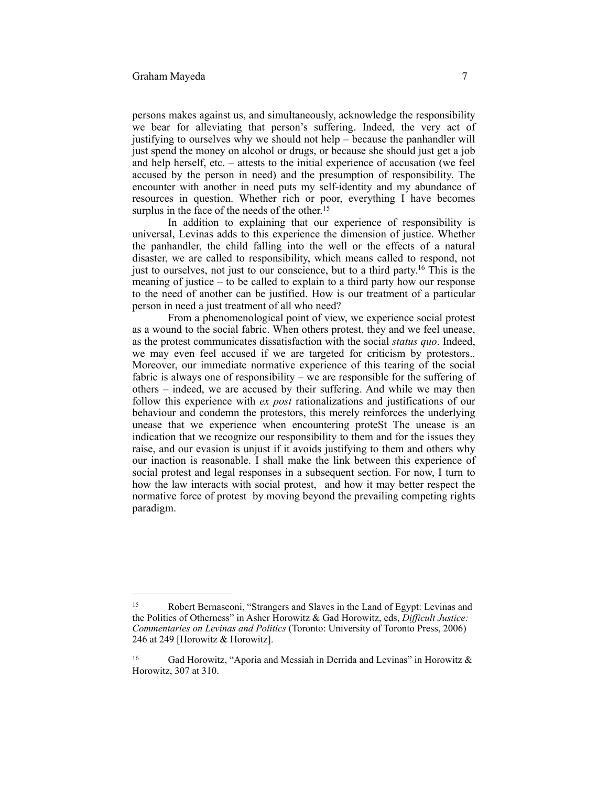persons makes against us, and simultaneously, acknowledge the responsibility we bear for alleviating that person's suffering. Indeed, the very act of justifying to ourselves why we should not help – because the panhandler will just spend the money on alcohol or drugs, or because she should just get a job and help herself, etc. – attests to the initial experience of accusation (we feel accused by the person in need) and the presumption of responsibility. The encounter with another in need puts my self-identity and my abundance of resources in question. Whether rich or poor, everything I have becomes surplus in the face of the needs of the other.<sup>15</sup>

In addition to explaining that our experience of responsibility is universal, Levinas adds to this experience the dimension of justice. Whether the panhandler, the child falling into the well or the effects of a natural disaster, we are called to responsibility, which means called to respond, not just to ourselves, not just to our conscience, but to a third party.<sup>16</sup> This is the meaning of justice – to be called to explain to a third party how our response to the need of another can be justified. How is our treatment of a particular person in need a just treatment of all who need?

From a phenomenological point of view, we experience social protest as a wound to the social fabric. When others protest, they and we feel unease, as the protest communicates dissatisfaction with the social *status quo*. Indeed, we may even feel accused if we are targeted for criticism by protestors.. Moreover, our immediate normative experience of this tearing of the social fabric is always one of responsibility – we are responsible for the suffering of others – indeed, we are accused by their suffering. And while we may then follow this experience with *ex post* rationalizations and justifications of our behaviour and condemn the protestors, this merely reinforces the underlying unease that we experience when encountering proteSt The unease is an indication that we recognize our responsibility to them and for the issues they raise, and our evasion is unjust if it avoids justifying to them and others why our inaction is reasonable. I shall make the link between this experience of social protest and legal responses in a subsequent section. For now, I turn to how the law interacts with social protest, and how it may better respect the normative force of protest by moving beyond the prevailing competing rights paradigm.

Robert Bernasconi, "Strangers and Slaves in the Land of Egypt: Levinas and 15 the Politics of Otherness" in Asher Horowitz & Gad Horowitz, eds, *Difficult Justice: Commentaries on Levinas and Politics* (Toronto: University of Toronto Press, 2006) 246 at 249 [Horowitz & Horowitz].

Gad Horowitz, "Aporia and Messiah in Derrida and Levinas" in Horowitz  $\&$ Horowitz, 307 at 310.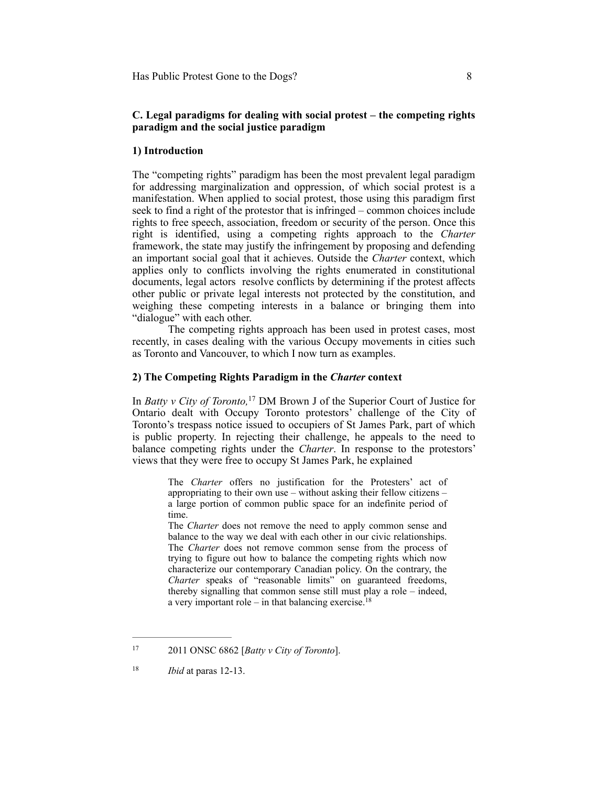## **C. Legal paradigms for dealing with social protest – the competing rights paradigm and the social justice paradigm**

## **1) Introduction**

The "competing rights" paradigm has been the most prevalent legal paradigm for addressing marginalization and oppression, of which social protest is a manifestation. When applied to social protest, those using this paradigm first seek to find a right of the protestor that is infringed – common choices include rights to free speech, association, freedom or security of the person. Once this right is identified, using a competing rights approach to the *Charter* framework, the state may justify the infringement by proposing and defending an important social goal that it achieves. Outside the *Charter* context, which applies only to conflicts involving the rights enumerated in constitutional documents, legal actors resolve conflicts by determining if the protest affects other public or private legal interests not protected by the constitution, and weighing these competing interests in a balance or bringing them into "dialogue" with each other.

The competing rights approach has been used in protest cases, most recently, in cases dealing with the various Occupy movements in cities such as Toronto and Vancouver, to which I now turn as examples.

## **2) The Competing Rights Paradigm in the** *Charter* **context**

In *Batty v City of Toronto*,<sup>17</sup> DM Brown J of the Superior Court of Justice for Ontario dealt with Occupy Toronto protestors' challenge of the City of Toronto's trespass notice issued to occupiers of St James Park, part of which is public property. In rejecting their challenge, he appeals to the need to balance competing rights under the *Charter*. In response to the protestors' views that they were free to occupy St James Park, he explained

> The *Charter* offers no justification for the Protesters' act of appropriating to their own use – without asking their fellow citizens – a large portion of common public space for an indefinite period of time.

> The *Charter* does not remove the need to apply common sense and balance to the way we deal with each other in our civic relationships. The *Charter* does not remove common sense from the process of trying to figure out how to balance the competing rights which now characterize our contemporary Canadian policy. On the contrary, the *Charter* speaks of "reasonable limits" on guaranteed freedoms, thereby signalling that common sense still must play a role – indeed, a very important role – in that balancing exercise.<sup>18</sup>

2011 ONSC 6862 [*Batty v City of Toronto*]. <sup>17</sup>

<sup>&</sup>lt;sup>18</sup> *Ibid* at paras 12-13.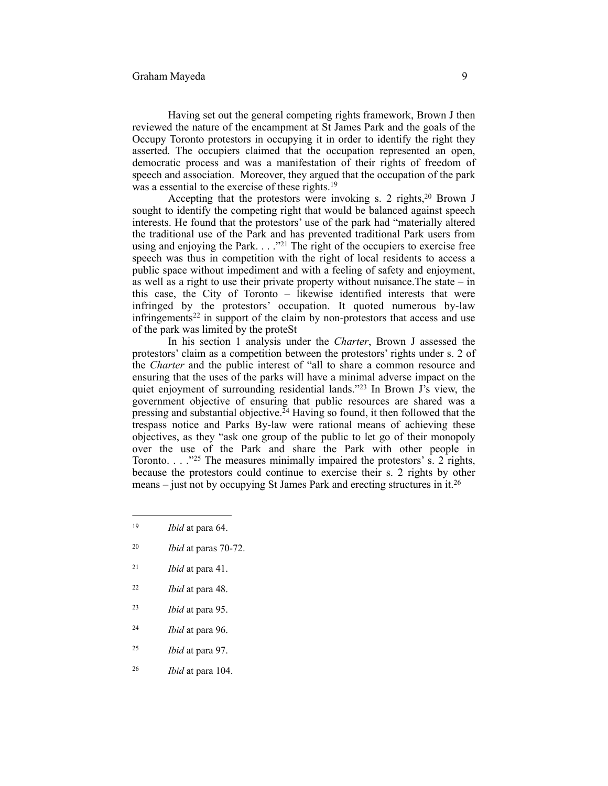Having set out the general competing rights framework, Brown J then reviewed the nature of the encampment at St James Park and the goals of the Occupy Toronto protestors in occupying it in order to identify the right they asserted. The occupiers claimed that the occupation represented an open, democratic process and was a manifestation of their rights of freedom of speech and association. Moreover, they argued that the occupation of the park was a essential to the exercise of these rights.<sup>19</sup>

Accepting that the protestors were invoking s. 2 rights, $2<sup>0</sup>$  Brown J sought to identify the competing right that would be balanced against speech interests. He found that the protestors' use of the park had "materially altered the traditional use of the Park and has prevented traditional Park users from using and enjoying the Park.  $\ldots$  ."<sup>21</sup> The right of the occupiers to exercise free speech was thus in competition with the right of local residents to access a public space without impediment and with a feeling of safety and enjoyment, as well as a right to use their private property without nuisance.The state – in this case, the City of Toronto – likewise identified interests that were infringed by the protestors' occupation. It quoted numerous by-law infringements<sup>22</sup> in support of the claim by non-protestors that access and use of the park was limited by the proteSt

In his section 1 analysis under the *Charter*, Brown J assessed the protestors' claim as a competition between the protestors' rights under s. 2 of the *Charter* and the public interest of "all to share a common resource and ensuring that the uses of the parks will have a minimal adverse impact on the quiet enjoyment of surrounding residential lands." <sup>23</sup> In Brown J's view, the government objective of ensuring that public resources are shared was a pressing and substantial objective.<sup> $24$ </sup> Having so found, it then followed that the trespass notice and Parks By-law were rational means of achieving these objectives, as they "ask one group of the public to let go of their monopoly over the use of the Park and share the Park with other people in Toronto. . . ." The measures minimally impaired the protestors' s. 2 rights, 25 because the protestors could continue to exercise their s. 2 rights by other means – just not by occupying St James Park and erecting structures in it.<sup>26</sup>

- $20$  *Ibid* at paras 70-72.
- <sup>21</sup> *Ibid* at para 41.
- *Ibid* at para 48. <sup>22</sup>
- *Ibid* at para 95. <sup>23</sup>
- *Ibid* at para 96. <sup>24</sup>
- *Ibid* at para 97. <sup>25</sup>
- *Ibid* at para 104. <sup>26</sup>

<sup>&</sup>lt;sup>19</sup> *Ibid* at para 64.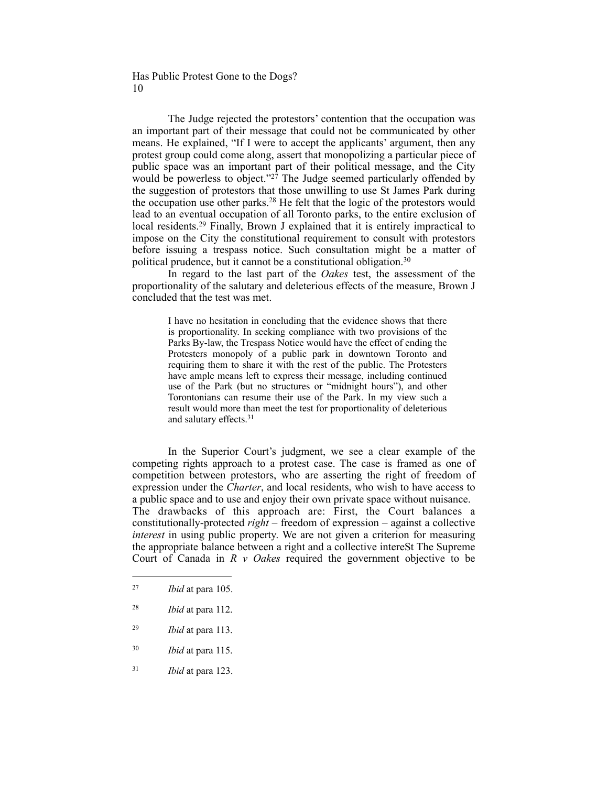The Judge rejected the protestors' contention that the occupation was an important part of their message that could not be communicated by other means. He explained, "If I were to accept the applicants' argument, then any protest group could come along, assert that monopolizing a particular piece of public space was an important part of their political message, and the City would be powerless to object."<sup>27</sup> The Judge seemed particularly offended by the suggestion of protestors that those unwilling to use St James Park during the occupation use other parks.<sup>28</sup> He felt that the logic of the protestors would lead to an eventual occupation of all Toronto parks, to the entire exclusion of local residents.<sup>29</sup> Finally, Brown J explained that it is entirely impractical to impose on the City the constitutional requirement to consult with protestors before issuing a trespass notice. Such consultation might be a matter of political prudence, but it cannot be a constitutional obligation.30

In regard to the last part of the *Oakes* test, the assessment of the proportionality of the salutary and deleterious effects of the measure, Brown J concluded that the test was met.

> I have no hesitation in concluding that the evidence shows that there is proportionality. In seeking compliance with two provisions of the Parks By-law, the Trespass Notice would have the effect of ending the Protesters monopoly of a public park in downtown Toronto and requiring them to share it with the rest of the public. The Protesters have ample means left to express their message, including continued use of the Park (but no structures or "midnight hours"), and other Torontonians can resume their use of the Park. In my view such a result would more than meet the test for proportionality of deleterious and salutary effects.31

In the Superior Court's judgment, we see a clear example of the competing rights approach to a protest case. The case is framed as one of competition between protestors, who are asserting the right of freedom of expression under the *Charter*, and local residents, who wish to have access to a public space and to use and enjoy their own private space without nuisance. The drawbacks of this approach are: First, the Court balances a constitutionally-protected *right* – freedom of expression – against a collective *interest* in using public property. We are not given a criterion for measuring the appropriate balance between a right and a collective intereSt The Supreme Court of Canada in *R v Oakes* required the government objective to be

- *Ibid* at para 113. <sup>29</sup>
- *Ibid* at para 115. <sup>30</sup>
- <sup>31</sup> *Ibid* at para 123.

*Ibid* at para 105. <sup>27</sup>

*Ibid* at para 112. <sup>28</sup>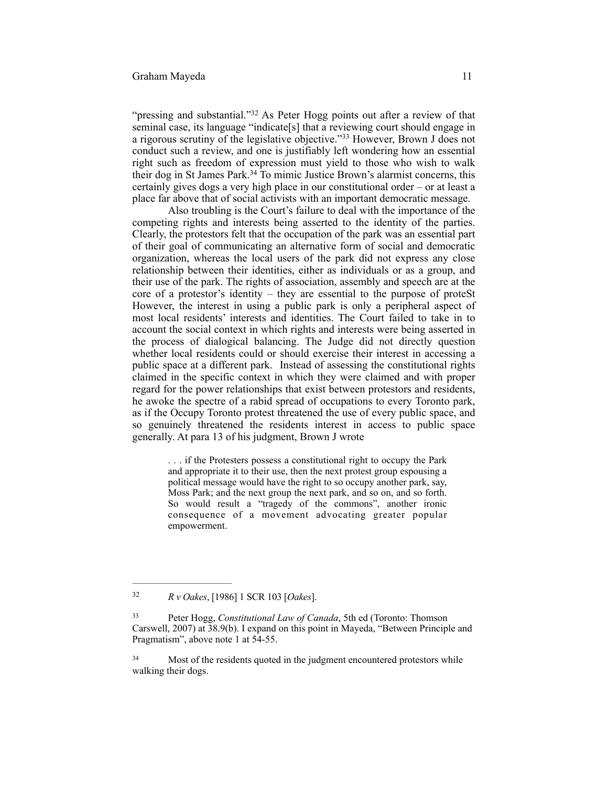### Graham Mayeda 11

"pressing and substantial."<sup>32</sup> As Peter Hogg points out after a review of that seminal case, its language "indicate[s] that a reviewing court should engage in a rigorous scrutiny of the legislative objective."<sup>33</sup> However, Brown J does not conduct such a review, and one is justifiably left wondering how an essential right such as freedom of expression must yield to those who wish to walk their dog in St James Park.<sup>34</sup> To mimic Justice Brown's alarmist concerns, this certainly gives dogs a very high place in our constitutional order – or at least a place far above that of social activists with an important democratic message.

Also troubling is the Court's failure to deal with the importance of the competing rights and interests being asserted to the identity of the parties. Clearly, the protestors felt that the occupation of the park was an essential part of their goal of communicating an alternative form of social and democratic organization, whereas the local users of the park did not express any close relationship between their identities, either as individuals or as a group, and their use of the park. The rights of association, assembly and speech are at the core of a protestor's identity – they are essential to the purpose of proteSt However, the interest in using a public park is only a peripheral aspect of most local residents' interests and identities. The Court failed to take in to account the social context in which rights and interests were being asserted in the process of dialogical balancing. The Judge did not directly question whether local residents could or should exercise their interest in accessing a public space at a different park. Instead of assessing the constitutional rights claimed in the specific context in which they were claimed and with proper regard for the power relationships that exist between protestors and residents, he awoke the spectre of a rabid spread of occupations to every Toronto park, as if the Occupy Toronto protest threatened the use of every public space, and so genuinely threatened the residents interest in access to public space generally. At para 13 of his judgment, Brown J wrote

> . . . if the Protesters possess a constitutional right to occupy the Park and appropriate it to their use, then the next protest group espousing a political message would have the right to so occupy another park, say, Moss Park; and the next group the next park, and so on, and so forth. So would result a "tragedy of the commons", another ironic consequence of a movement advocating greater popular empowerment.

*R v Oakes*, [1986] 1 SCR 103 [*Oakes*]. <sup>32</sup>

Peter Hogg, *Constitutional Law of Canada*, 5th ed (Toronto: Thomson 33 Carswell, 2007) at 38.9(b). I expand on this point in Mayeda, "Between Principle and Pragmatism", above note 1 at 54-55.

<sup>&</sup>lt;sup>34</sup> Most of the residents quoted in the judgment encountered protestors while walking their dogs.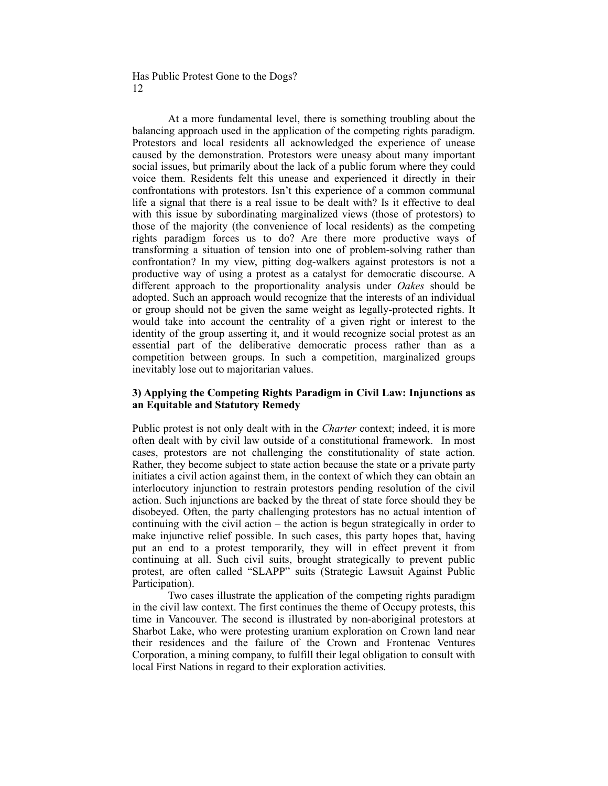At a more fundamental level, there is something troubling about the balancing approach used in the application of the competing rights paradigm. Protestors and local residents all acknowledged the experience of unease caused by the demonstration. Protestors were uneasy about many important social issues, but primarily about the lack of a public forum where they could voice them. Residents felt this unease and experienced it directly in their confrontations with protestors. Isn't this experience of a common communal life a signal that there is a real issue to be dealt with? Is it effective to deal with this issue by subordinating marginalized views (those of protestors) to those of the majority (the convenience of local residents) as the competing rights paradigm forces us to do? Are there more productive ways of transforming a situation of tension into one of problem-solving rather than confrontation? In my view, pitting dog-walkers against protestors is not a productive way of using a protest as a catalyst for democratic discourse. A different approach to the proportionality analysis under *Oakes* should be adopted. Such an approach would recognize that the interests of an individual or group should not be given the same weight as legally-protected rights. It would take into account the centrality of a given right or interest to the identity of the group asserting it, and it would recognize social protest as an essential part of the deliberative democratic process rather than as a competition between groups. In such a competition, marginalized groups inevitably lose out to majoritarian values.

# **3) Applying the Competing Rights Paradigm in Civil Law: Injunctions as an Equitable and Statutory Remedy**

Public protest is not only dealt with in the *Charter* context; indeed, it is more often dealt with by civil law outside of a constitutional framework. In most cases, protestors are not challenging the constitutionality of state action. Rather, they become subject to state action because the state or a private party initiates a civil action against them, in the context of which they can obtain an interlocutory injunction to restrain protestors pending resolution of the civil action. Such injunctions are backed by the threat of state force should they be disobeyed. Often, the party challenging protestors has no actual intention of continuing with the civil action – the action is begun strategically in order to make injunctive relief possible. In such cases, this party hopes that, having put an end to a protest temporarily, they will in effect prevent it from continuing at all. Such civil suits, brought strategically to prevent public protest, are often called "SLAPP" suits (Strategic Lawsuit Against Public Participation).

Two cases illustrate the application of the competing rights paradigm in the civil law context. The first continues the theme of Occupy protests, this time in Vancouver. The second is illustrated by non-aboriginal protestors at Sharbot Lake, who were protesting uranium exploration on Crown land near their residences and the failure of the Crown and Frontenac Ventures Corporation, a mining company, to fulfill their legal obligation to consult with local First Nations in regard to their exploration activities.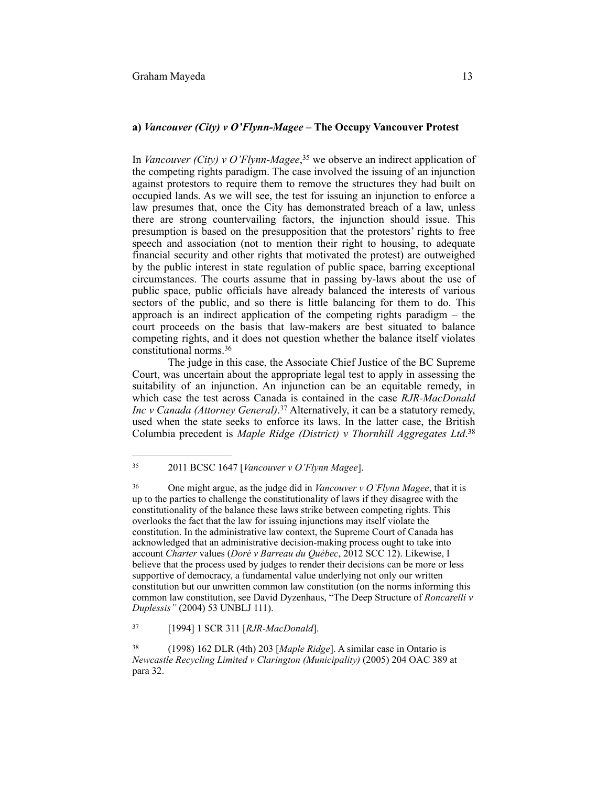In *Vancouver (City) v O'Flynn-Magee*,<sup>35</sup> we observe an indirect application of the competing rights paradigm. The case involved the issuing of an injunction against protestors to require them to remove the structures they had built on occupied lands. As we will see, the test for issuing an injunction to enforce a law presumes that, once the City has demonstrated breach of a law, unless there are strong countervailing factors, the injunction should issue. This presumption is based on the presupposition that the protestors' rights to free speech and association (not to mention their right to housing, to adequate financial security and other rights that motivated the protest) are outweighed by the public interest in state regulation of public space, barring exceptional circumstances. The courts assume that in passing by-laws about the use of public space, public officials have already balanced the interests of various sectors of the public, and so there is little balancing for them to do. This approach is an indirect application of the competing rights paradigm – the court proceeds on the basis that law-makers are best situated to balance competing rights, and it does not question whether the balance itself violates constitutional norms.36

The judge in this case, the Associate Chief Justice of the BC Supreme Court, was uncertain about the appropriate legal test to apply in assessing the suitability of an injunction. An injunction can be an equitable remedy, in which case the test across Canada is contained in the case *RJR-MacDonald Inc v Canada (Attorney General)*.<sup>37</sup> Alternatively, it can be a statutory remedy, used when the state seeks to enforce its laws. In the latter case, the British Columbia precedent is *Maple Ridge (District) v Thornhill Aggregates Ltd*. 38

 <sup>2011</sup> BCSC 1647 [*Vancouver v O'Flynn Magee*]. <sup>35</sup>

One might argue, as the judge did in *Vancouver v O'Flynn Magee*, that it is 36 up to the parties to challenge the constitutionality of laws if they disagree with the constitutionality of the balance these laws strike between competing rights. This overlooks the fact that the law for issuing injunctions may itself violate the constitution. In the administrative law context, the Supreme Court of Canada has acknowledged that an administrative decision-making process ought to take into account *Charter* values (*Doré v Barreau du Québec*, 2012 SCC 12). Likewise, I believe that the process used by judges to render their decisions can be more or less supportive of democracy, a fundamental value underlying not only our written constitution but our unwritten common law constitution (on the norms informing this common law constitution, see David Dyzenhaus, "The Deep Structure of *Roncarelli v Duplessis"* (2004) 53 UNBLJ 111).

 <sup>[1994] 1</sup> SCR 311 [*RJR-MacDonald*]. <sup>37</sup>

 <sup>(1998) 162</sup> DLR (4th) 203 [*Maple Ridge*]. A similar case in Ontario is 38 *Newcastle Recycling Limited v Clarington (Municipality)* (2005) 204 OAC 389 at para 32.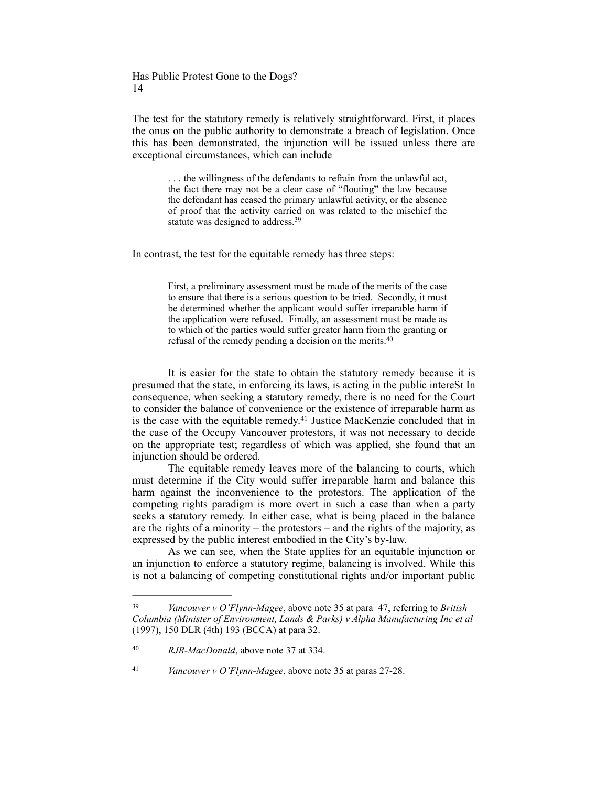The test for the statutory remedy is relatively straightforward. First, it places the onus on the public authority to demonstrate a breach of legislation. Once this has been demonstrated, the injunction will be issued unless there are exceptional circumstances, which can include

> . . . the willingness of the defendants to refrain from the unlawful act, the fact there may not be a clear case of "flouting" the law because the defendant has ceased the primary unlawful activity, or the absence of proof that the activity carried on was related to the mischief the statute was designed to address.<sup>39</sup>

In contrast, the test for the equitable remedy has three steps:

First, a preliminary assessment must be made of the merits of the case to ensure that there is a serious question to be tried. Secondly, it must be determined whether the applicant would suffer irreparable harm if the application were refused. Finally, an assessment must be made as to which of the parties would suffer greater harm from the granting or refusal of the remedy pending a decision on the merits. 40

It is easier for the state to obtain the statutory remedy because it is presumed that the state, in enforcing its laws, is acting in the public intereSt In consequence, when seeking a statutory remedy, there is no need for the Court to consider the balance of convenience or the existence of irreparable harm as is the case with the equitable remedy.<sup> $41$ </sup> Justice MacKenzie concluded that in the case of the Occupy Vancouver protestors, it was not necessary to decide on the appropriate test; regardless of which was applied, she found that an injunction should be ordered.

The equitable remedy leaves more of the balancing to courts, which must determine if the City would suffer irreparable harm and balance this harm against the inconvenience to the protestors. The application of the competing rights paradigm is more overt in such a case than when a party seeks a statutory remedy. In either case, what is being placed in the balance are the rights of a minority – the protestors – and the rights of the majority, as expressed by the public interest embodied in the City's by-law.

As we can see, when the State applies for an equitable injunction or an injunction to enforce a statutory regime, balancing is involved. While this is not a balancing of competing constitutional rights and/or important public

*Vancouver v O'Flynn-Magee*, above note 35 at paras 27-28. <sup>41</sup>

*Vancouver v O'Flynn-Magee*, above note 35 at para 47, referring to *British* <sup>39</sup> *Columbia (Minister of Environment, Lands & Parks) v Alpha Manufacturing Inc et al* (1997), 150 DLR (4th) 193 (BCCA) at para 32.

<sup>&</sup>lt;sup>40</sup> RJR-MacDonald, above note 37 at 334.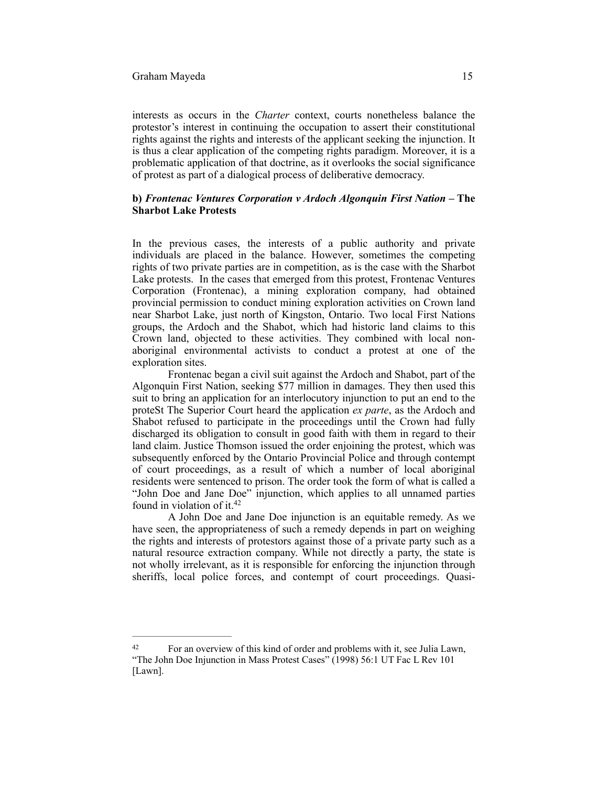#### Graham Mayeda 15

interests as occurs in the *Charter* context, courts nonetheless balance the protestor's interest in continuing the occupation to assert their constitutional rights against the rights and interests of the applicant seeking the injunction. It is thus a clear application of the competing rights paradigm. Moreover, it is a problematic application of that doctrine, as it overlooks the social significance of protest as part of a dialogical process of deliberative democracy.

## **b)** *Frontenac Ventures Corporation v Ardoch Algonquin First Nation* **– The Sharbot Lake Protests**

In the previous cases, the interests of a public authority and private individuals are placed in the balance. However, sometimes the competing rights of two private parties are in competition, as is the case with the Sharbot Lake protests. In the cases that emerged from this protest, Frontenac Ventures Corporation (Frontenac), a mining exploration company, had obtained provincial permission to conduct mining exploration activities on Crown land near Sharbot Lake, just north of Kingston, Ontario. Two local First Nations groups, the Ardoch and the Shabot, which had historic land claims to this Crown land, objected to these activities. They combined with local nonaboriginal environmental activists to conduct a protest at one of the exploration sites.

Frontenac began a civil suit against the Ardoch and Shabot, part of the Algonquin First Nation, seeking \$77 million in damages. They then used this suit to bring an application for an interlocutory injunction to put an end to the proteSt The Superior Court heard the application *ex parte*, as the Ardoch and Shabot refused to participate in the proceedings until the Crown had fully discharged its obligation to consult in good faith with them in regard to their land claim. Justice Thomson issued the order enjoining the protest, which was subsequently enforced by the Ontario Provincial Police and through contempt of court proceedings, as a result of which a number of local aboriginal residents were sentenced to prison. The order took the form of what is called a "John Doe and Jane Doe" injunction, which applies to all unnamed parties found in violation of it.42

A John Doe and Jane Doe injunction is an equitable remedy. As we have seen, the appropriateness of such a remedy depends in part on weighing the rights and interests of protestors against those of a private party such as a natural resource extraction company. While not directly a party, the state is not wholly irrelevant, as it is responsible for enforcing the injunction through sheriffs, local police forces, and contempt of court proceedings. Quasi-

<sup>42</sup> For an overview of this kind of order and problems with it, see Julia Lawn, "The John Doe Injunction in Mass Protest Cases" (1998) 56:1 UT Fac L Rev 101 [Lawn].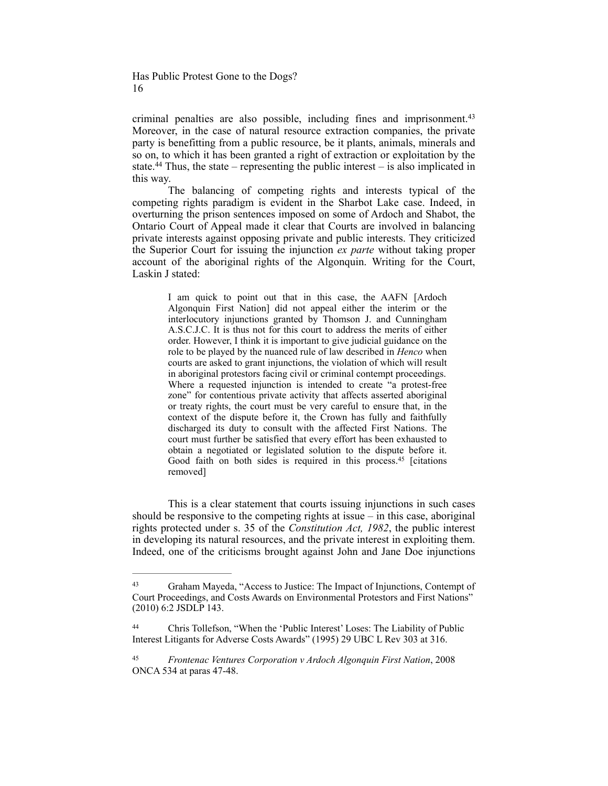criminal penalties are also possible, including fines and imprisonment.43 Moreover, in the case of natural resource extraction companies, the private party is benefitting from a public resource, be it plants, animals, minerals and so on, to which it has been granted a right of extraction or exploitation by the state.<sup>44</sup> Thus, the state – representing the public interest – is also implicated in this way.

The balancing of competing rights and interests typical of the competing rights paradigm is evident in the Sharbot Lake case. Indeed, in overturning the prison sentences imposed on some of Ardoch and Shabot, the Ontario Court of Appeal made it clear that Courts are involved in balancing private interests against opposing private and public interests. They criticized the Superior Court for issuing the injunction *ex parte* without taking proper account of the aboriginal rights of the Algonquin. Writing for the Court, Laskin J stated:

> I am quick to point out that in this case, the AAFN [Ardoch Algonquin First Nation] did not appeal either the interim or the interlocutory injunctions granted by Thomson J. and Cunningham A.S.C.J.C. It is thus not for this court to address the merits of either order. However, I think it is important to give judicial guidance on the role to be played by the nuanced rule of law described in *Henco* when courts are asked to grant injunctions, the violation of which will result in aboriginal protestors facing civil or criminal contempt proceedings. Where a requested injunction is intended to create "a protest-free zone" for contentious private activity that affects asserted aboriginal or treaty rights, the court must be very careful to ensure that, in the context of the dispute before it, the Crown has fully and faithfully discharged its duty to consult with the affected First Nations. The court must further be satisfied that every effort has been exhausted to obtain a negotiated or legislated solution to the dispute before it. Good faith on both sides is required in this process.<sup>45</sup> [citations removed]

This is a clear statement that courts issuing injunctions in such cases should be responsive to the competing rights at issue – in this case, aboriginal rights protected under s. 35 of the *Constitution Act, 1982*, the public interest in developing its natural resources, and the private interest in exploiting them. Indeed, one of the criticisms brought against John and Jane Doe injunctions

Graham Mayeda, "Access to Justice: The Impact of Injunctions, Contempt of 43 Court Proceedings, and Costs Awards on Environmental Protestors and First Nations" (2010) 6:2 JSDLP 143.

Chris Tollefson, "When the 'Public Interest' Loses: The Liability of Public 44 Interest Litigants for Adverse Costs Awards" (1995) 29 UBC L Rev 303 at 316.

**Frontenac Ventures Corporation v Ardoch Algonquin First Nation, 2008** ONCA 534 at paras 47-48.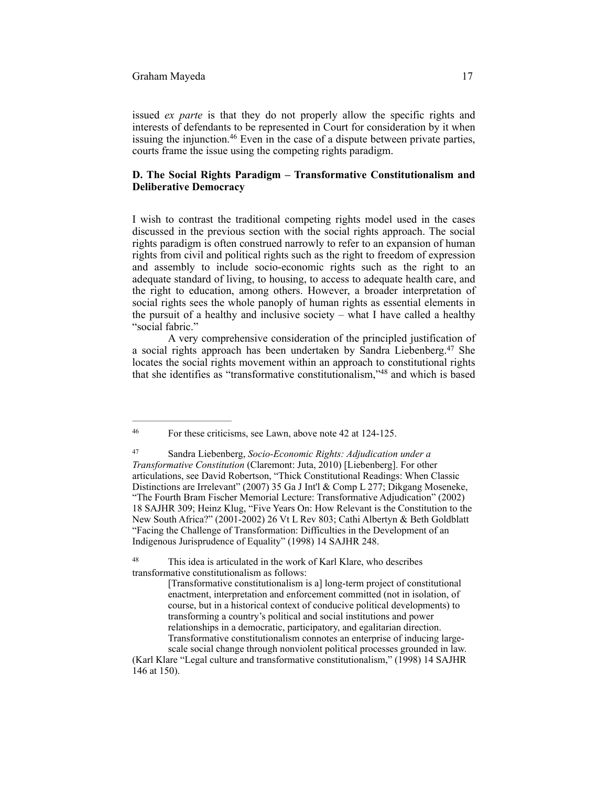issued *ex parte* is that they do not properly allow the specific rights and interests of defendants to be represented in Court for consideration by it when issuing the injunction. $46$  Even in the case of a dispute between private parties, courts frame the issue using the competing rights paradigm.

## **D. The Social Rights Paradigm – Transformative Constitutionalism and Deliberative Democracy**

I wish to contrast the traditional competing rights model used in the cases discussed in the previous section with the social rights approach. The social rights paradigm is often construed narrowly to refer to an expansion of human rights from civil and political rights such as the right to freedom of expression and assembly to include socio-economic rights such as the right to an adequate standard of living, to housing, to access to adequate health care, and the right to education, among others. However, a broader interpretation of social rights sees the whole panoply of human rights as essential elements in the pursuit of a healthy and inclusive society – what I have called a healthy "social fabric."

A very comprehensive consideration of the principled justification of a social rights approach has been undertaken by Sandra Liebenberg.<sup>47</sup> She locates the social rights movement within an approach to constitutional rights that she identifies as "transformative constitutionalism,"<sup>48</sup> and which is based

For these criticisms, see Lawn, above note 42 at 124-125. <sup>46</sup>

Sandra Liebenberg, *Socio-Economic Rights: Adjudication under a* <sup>47</sup> *Transformative Constitution* (Claremont: Juta, 2010) [Liebenberg]. For other articulations, see David Robertson, "Thick Constitutional Readings: When Classic Distinctions are Irrelevant" (2007) 35 Ga J Int'l & Comp L 277; Dikgang Moseneke, "The Fourth Bram Fischer Memorial Lecture: Transformative Adjudication" (2002) 18 SAJHR 309; Heinz Klug, "Five Years On: How Relevant is the Constitution to the New South Africa?" (2001-2002) 26 Vt L Rev 803; Cathi Albertyn & Beth Goldblatt "Facing the Challenge of Transformation: Difficulties in the Development of an Indigenous Jurisprudence of Equality" (1998) 14 SAJHR 248.

<sup>&</sup>lt;sup>48</sup> This idea is articulated in the work of Karl Klare, who describes transformative constitutionalism as follows:

<sup>[</sup>Transformative constitutionalism is a] long-term project of constitutional enactment, interpretation and enforcement committed (not in isolation, of course, but in a historical context of conducive political developments) to transforming a country's political and social institutions and power relationships in a democratic, participatory, and egalitarian direction. Transformative constitutionalism connotes an enterprise of inducing largescale social change through nonviolent political processes grounded in law.

<sup>(</sup>Karl Klare "Legal culture and transformative constitutionalism," (1998) 14 SAJHR 146 at 150).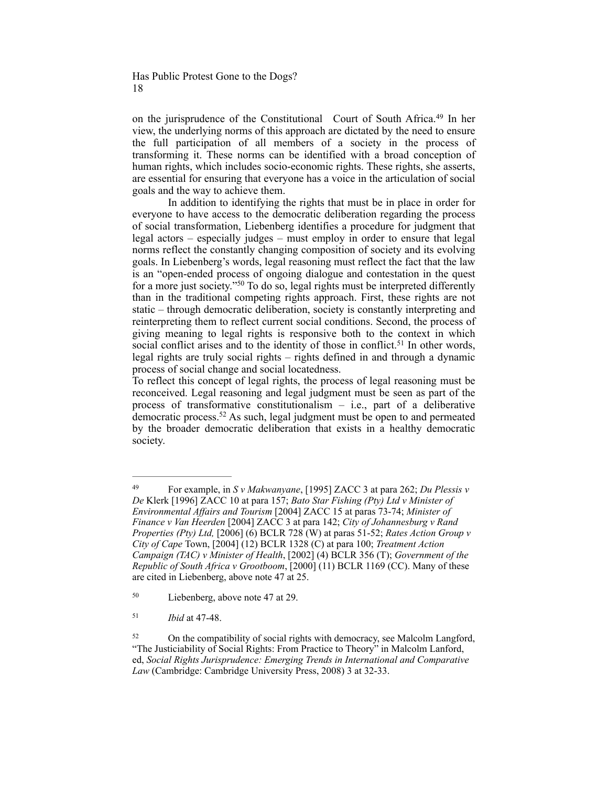on the jurisprudence of the Constitutional Court of South Africa.<sup>49</sup> In her view, the underlying norms of this approach are dictated by the need to ensure the full participation of all members of a society in the process of transforming it. These norms can be identified with a broad conception of human rights, which includes socio-economic rights. These rights, she asserts, are essential for ensuring that everyone has a voice in the articulation of social goals and the way to achieve them.

In addition to identifying the rights that must be in place in order for everyone to have access to the democratic deliberation regarding the process of social transformation, Liebenberg identifies a procedure for judgment that legal actors – especially judges – must employ in order to ensure that legal norms reflect the constantly changing composition of society and its evolving goals. In Liebenberg's words, legal reasoning must reflect the fact that the law is an "open-ended process of ongoing dialogue and contestation in the quest for a more just society." <sup>50</sup> To do so, legal rights must be interpreted differently than in the traditional competing rights approach. First, these rights are not static – through democratic deliberation, society is constantly interpreting and reinterpreting them to reflect current social conditions. Second, the process of giving meaning to legal rights is responsive both to the context in which social conflict arises and to the identity of those in conflict.<sup>51</sup> In other words, legal rights are truly social rights – rights defined in and through a dynamic process of social change and social locatedness.

To reflect this concept of legal rights, the process of legal reasoning must be reconceived. Legal reasoning and legal judgment must be seen as part of the process of transformative constitutionalism  $-$  i.e., part of a deliberative democratic process.<sup>52</sup> As such, legal judgment must be open to and permeated by the broader democratic deliberation that exists in a healthy democratic society.

For example, in *S v Makwanyane*, [1995] ZACC 3 at para 262; *Du Plessis v* <sup>49</sup> *De* Klerk [1996] ZACC 10 at para 157; *Bato Star Fishing (Pty) Ltd v Minister of Environmental Affairs and Tourism* [2004] ZACC 15 at paras 73-74; *Minister of Finance v Van Heerden* [2004] ZACC 3 at para 142; *City of Johannesburg v Rand Properties (Pty) Ltd,* [2006] (6) BCLR 728 (W) at paras 51-52; *Rates Action Group v City of Cape* Town, [2004] (12) BCLR 1328 (C) at para 100; *Treatment Action Campaign (TAC) v Minister of Health*, [2002] (4) BCLR 356 (T); *Government of the Republic of South Africa v Grootboom*, [2000] (11) BCLR 1169 (CC). Many of these are cited in Liebenberg, above note 47 at 25.

<sup>&</sup>lt;sup>50</sup> Liebenberg, above note 47 at 29.

*Ibid* at 47-48. <sup>51</sup>

<sup>&</sup>lt;sup>52</sup> On the compatibility of social rights with democracy, see Malcolm Langford, "The Justiciability of Social Rights: From Practice to Theory" in Malcolm Lanford, ed, *Social Rights Jurisprudence: Emerging Trends in International and Comparative Law* (Cambridge: Cambridge University Press, 2008) 3 at 32-33.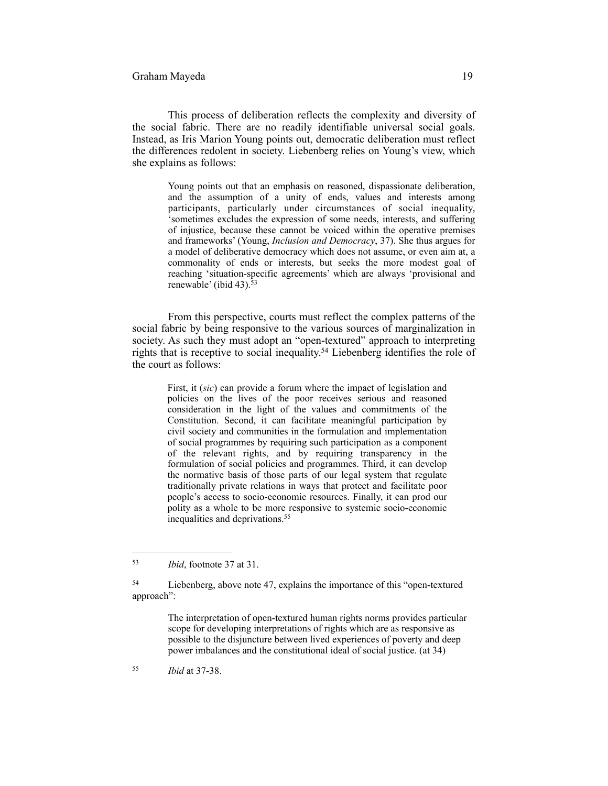#### Graham Mayeda 19

This process of deliberation reflects the complexity and diversity of the social fabric. There are no readily identifiable universal social goals. Instead, as Iris Marion Young points out, democratic deliberation must reflect the differences redolent in society. Liebenberg relies on Young's view, which she explains as follows:

> Young points out that an emphasis on reasoned, dispassionate deliberation, and the assumption of a unity of ends, values and interests among participants, particularly under circumstances of social inequality, 'sometimes excludes the expression of some needs, interests, and suffering of injustice, because these cannot be voiced within the operative premises and frameworks' (Young, *Inclusion and Democracy*, 37). She thus argues for a model of deliberative democracy which does not assume, or even aim at, a commonality of ends or interests, but seeks the more modest goal of reaching 'situation-specific agreements' which are always 'provisional and renewable' (ibid 43).<sup>53</sup>

From this perspective, courts must reflect the complex patterns of the social fabric by being responsive to the various sources of marginalization in society. As such they must adopt an "open-textured" approach to interpreting rights that is receptive to social inequality.<sup>54</sup> Liebenberg identifies the role of the court as follows:

> First, it (*sic*) can provide a forum where the impact of legislation and policies on the lives of the poor receives serious and reasoned consideration in the light of the values and commitments of the Constitution. Second, it can facilitate meaningful participation by civil society and communities in the formulation and implementation of social programmes by requiring such participation as a component of the relevant rights, and by requiring transparency in the formulation of social policies and programmes. Third, it can develop the normative basis of those parts of our legal system that regulate traditionally private relations in ways that protect and facilitate poor people's access to socio-economic resources. Finally, it can prod our polity as a whole to be more responsive to systemic socio-economic inequalities and deprivations.<sup>55</sup>

The interpretation of open-textured human rights norms provides particular scope for developing interpretations of rights which are as responsive as possible to the disjuncture between lived experiences of poverty and deep power imbalances and the constitutional ideal of social justice. (at 34)

*Ibid* at 37-38. <sup>55</sup>

<sup>&</sup>lt;sup>53</sup> *Ibid*, footnote 37 at 31.

<sup>&</sup>lt;sup>54</sup> Liebenberg, above note 47, explains the importance of this "open-textured" approach":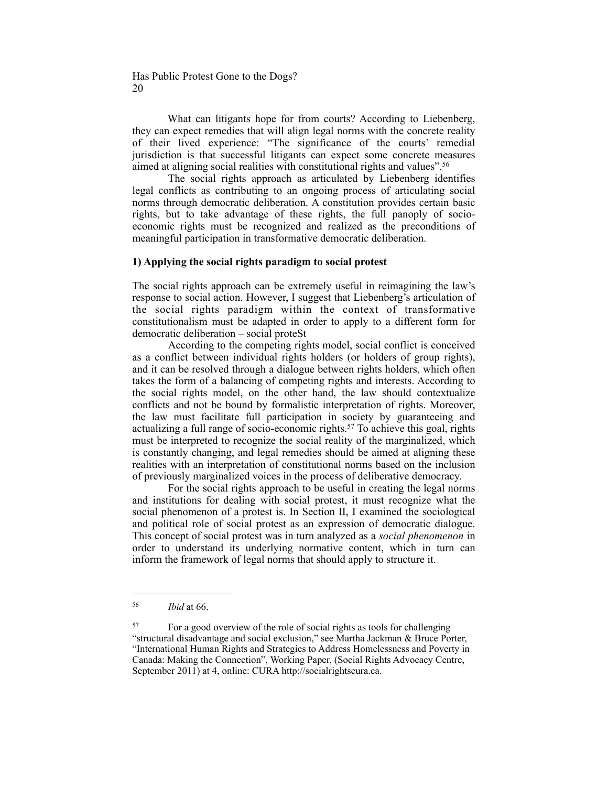What can litigants hope for from courts? According to Liebenberg, they can expect remedies that will align legal norms with the concrete reality of their lived experience: "The significance of the courts' remedial jurisdiction is that successful litigants can expect some concrete measures aimed at aligning social realities with constitutional rights and values".56

The social rights approach as articulated by Liebenberg identifies legal conflicts as contributing to an ongoing process of articulating social norms through democratic deliberation. A constitution provides certain basic rights, but to take advantage of these rights, the full panoply of socioeconomic rights must be recognized and realized as the preconditions of meaningful participation in transformative democratic deliberation.

## **1) Applying the social rights paradigm to social protest**

The social rights approach can be extremely useful in reimagining the law's response to social action. However, I suggest that Liebenberg's articulation of the social rights paradigm within the context of transformative constitutionalism must be adapted in order to apply to a different form for democratic deliberation – social proteSt

According to the competing rights model, social conflict is conceived as a conflict between individual rights holders (or holders of group rights), and it can be resolved through a dialogue between rights holders, which often takes the form of a balancing of competing rights and interests. According to the social rights model, on the other hand, the law should contextualize conflicts and not be bound by formalistic interpretation of rights. Moreover, the law must facilitate full participation in society by guaranteeing and actualizing a full range of socio-economic rights.<sup>57</sup> To achieve this goal, rights must be interpreted to recognize the social reality of the marginalized, which is constantly changing, and legal remedies should be aimed at aligning these realities with an interpretation of constitutional norms based on the inclusion of previously marginalized voices in the process of deliberative democracy.

For the social rights approach to be useful in creating the legal norms and institutions for dealing with social protest, it must recognize what the social phenomenon of a protest is. In Section II, I examined the sociological and political role of social protest as an expression of democratic dialogue. This concept of social protest was in turn analyzed as a *social phenomenon* in order to understand its underlying normative content, which in turn can inform the framework of legal norms that should apply to structure it.

*Ibid* at 66. <sup>56</sup>

For a good overview of the role of social rights as tools for challenging 57 "structural disadvantage and social exclusion," see Martha Jackman & Bruce Porter, "International Human Rights and Strategies to Address Homelessness and Poverty in Canada: Making the Connection", Working Paper, (Social Rights Advocacy Centre, September 2011) at 4, online: CURA [http://socialrightscura.ca](http://socialrightscura.ca/).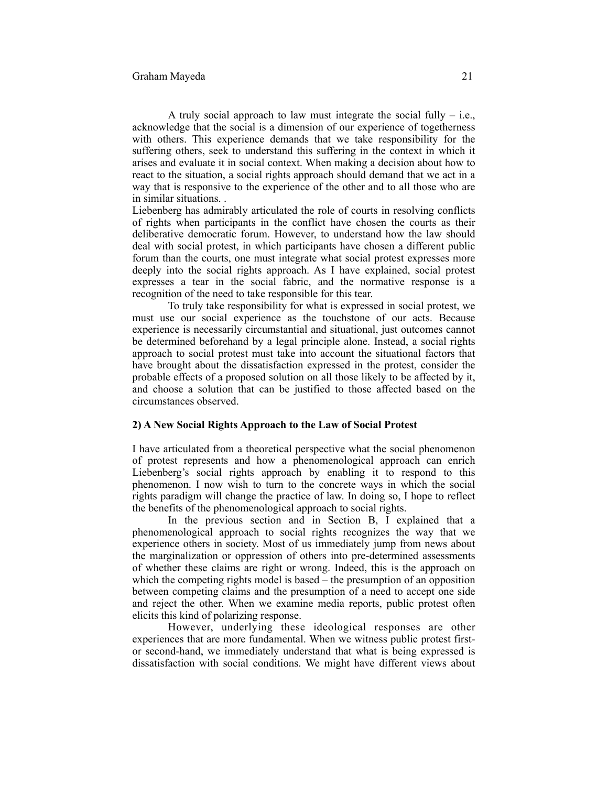A truly social approach to law must integrate the social fully  $-$  i.e., acknowledge that the social is a dimension of our experience of togetherness with others. This experience demands that we take responsibility for the suffering others, seek to understand this suffering in the context in which it arises and evaluate it in social context. When making a decision about how to react to the situation, a social rights approach should demand that we act in a way that is responsive to the experience of the other and to all those who are in similar situations. .

Liebenberg has admirably articulated the role of courts in resolving conflicts of rights when participants in the conflict have chosen the courts as their deliberative democratic forum. However, to understand how the law should deal with social protest, in which participants have chosen a different public forum than the courts, one must integrate what social protest expresses more deeply into the social rights approach. As I have explained, social protest expresses a tear in the social fabric, and the normative response is a recognition of the need to take responsible for this tear.

To truly take responsibility for what is expressed in social protest, we must use our social experience as the touchstone of our acts. Because experience is necessarily circumstantial and situational, just outcomes cannot be determined beforehand by a legal principle alone. Instead, a social rights approach to social protest must take into account the situational factors that have brought about the dissatisfaction expressed in the protest, consider the probable effects of a proposed solution on all those likely to be affected by it, and choose a solution that can be justified to those affected based on the circumstances observed.

# **2) A New Social Rights Approach to the Law of Social Protest**

I have articulated from a theoretical perspective what the social phenomenon of protest represents and how a phenomenological approach can enrich Liebenberg's social rights approach by enabling it to respond to this phenomenon. I now wish to turn to the concrete ways in which the social rights paradigm will change the practice of law. In doing so, I hope to reflect the benefits of the phenomenological approach to social rights.

In the previous section and in Section B, I explained that a phenomenological approach to social rights recognizes the way that we experience others in society. Most of us immediately jump from news about the marginalization or oppression of others into pre-determined assessments of whether these claims are right or wrong. Indeed, this is the approach on which the competing rights model is based – the presumption of an opposition between competing claims and the presumption of a need to accept one side and reject the other. When we examine media reports, public protest often elicits this kind of polarizing response.

However, underlying these ideological responses are other experiences that are more fundamental. When we witness public protest firstor second-hand, we immediately understand that what is being expressed is dissatisfaction with social conditions. We might have different views about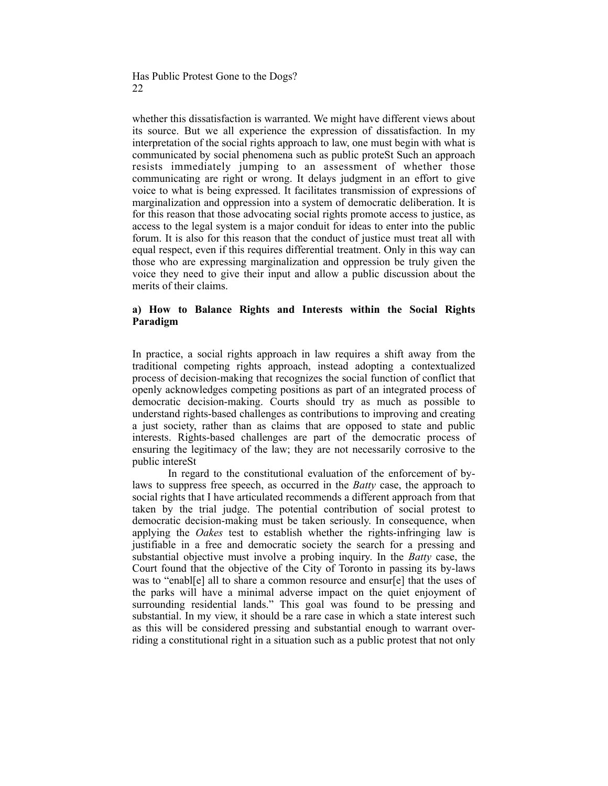whether this dissatisfaction is warranted. We might have different views about its source. But we all experience the expression of dissatisfaction. In my interpretation of the social rights approach to law, one must begin with what is communicated by social phenomena such as public proteSt Such an approach resists immediately jumping to an assessment of whether those communicating are right or wrong. It delays judgment in an effort to give voice to what is being expressed. It facilitates transmission of expressions of marginalization and oppression into a system of democratic deliberation. It is for this reason that those advocating social rights promote access to justice, as access to the legal system is a major conduit for ideas to enter into the public forum. It is also for this reason that the conduct of justice must treat all with equal respect, even if this requires differential treatment. Only in this way can those who are expressing marginalization and oppression be truly given the voice they need to give their input and allow a public discussion about the merits of their claims.

# **a) How to Balance Rights and Interests within the Social Rights Paradigm**

In practice, a social rights approach in law requires a shift away from the traditional competing rights approach, instead adopting a contextualized process of decision-making that recognizes the social function of conflict that openly acknowledges competing positions as part of an integrated process of democratic decision-making. Courts should try as much as possible to understand rights-based challenges as contributions to improving and creating a just society, rather than as claims that are opposed to state and public interests. Rights-based challenges are part of the democratic process of ensuring the legitimacy of the law; they are not necessarily corrosive to the public intereSt

In regard to the constitutional evaluation of the enforcement of bylaws to suppress free speech, as occurred in the *Batty* case, the approach to social rights that I have articulated recommends a different approach from that taken by the trial judge. The potential contribution of social protest to democratic decision-making must be taken seriously. In consequence, when applying the *Oakes* test to establish whether the rights-infringing law is justifiable in a free and democratic society the search for a pressing and substantial objective must involve a probing inquiry. In the *Batty* case, the Court found that the objective of the City of Toronto in passing its by-laws was to "enabl[e] all to share a common resource and ensur[e] that the uses of the parks will have a minimal adverse impact on the quiet enjoyment of surrounding residential lands." This goal was found to be pressing and substantial. In my view, it should be a rare case in which a state interest such as this will be considered pressing and substantial enough to warrant overriding a constitutional right in a situation such as a public protest that not only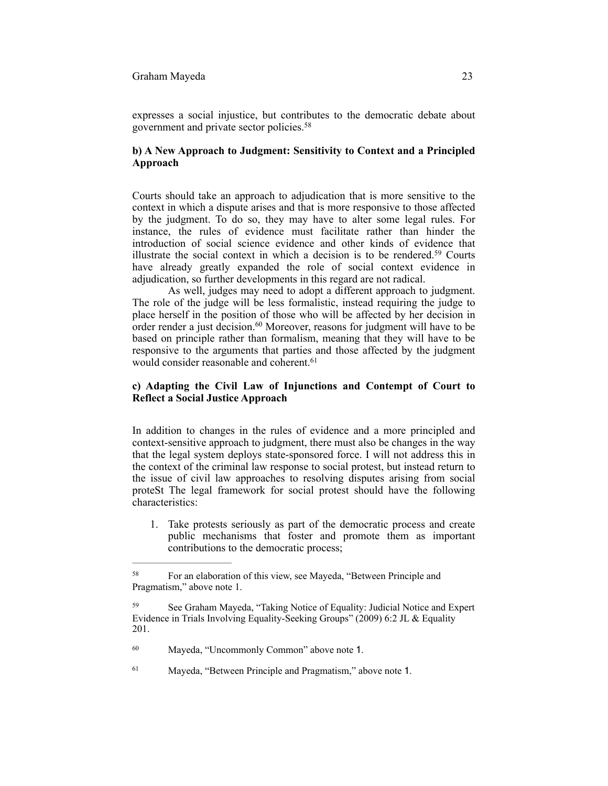expresses a social injustice, but contributes to the democratic debate about government and private sector policies.58

## **b) A New Approach to Judgment: Sensitivity to Context and a Principled Approach**

Courts should take an approach to adjudication that is more sensitive to the context in which a dispute arises and that is more responsive to those affected by the judgment. To do so, they may have to alter some legal rules. For instance, the rules of evidence must facilitate rather than hinder the introduction of social science evidence and other kinds of evidence that illustrate the social context in which a decision is to be rendered.<sup>59</sup> Courts have already greatly expanded the role of social context evidence in adjudication, so further developments in this regard are not radical.

As well, judges may need to adopt a different approach to judgment. The role of the judge will be less formalistic, instead requiring the judge to place herself in the position of those who will be affected by her decision in order render a just decision.<sup>60</sup> Moreover, reasons for judgment will have to be based on principle rather than formalism, meaning that they will have to be responsive to the arguments that parties and those affected by the judgment would consider reasonable and coherent.<sup>61</sup>

## **c) Adapting the Civil Law of Injunctions and Contempt of Court to Reflect a Social Justice Approach**

In addition to changes in the rules of evidence and a more principled and context-sensitive approach to judgment, there must also be changes in the way that the legal system deploys state-sponsored force. I will not address this in the context of the criminal law response to social protest, but instead return to the issue of civil law approaches to resolving disputes arising from social proteSt The legal framework for social protest should have the following characteristics:

1. Take protests seriously as part of the democratic process and create public mechanisms that foster and promote them as important contributions to the democratic process;

For an elaboration of this view, see Mayeda, "Between Principle and 58 Pragmatism," above note 1.

See Graham Mayeda, "Taking Notice of Equality: Judicial Notice and Expert Evidence in Trials Involving Equality-Seeking Groups" (2009) 6:2 JL & Equality 201.

<sup>&</sup>lt;sup>60</sup> Mayeda, "Uncommonly Common" above note 1.

<sup>&</sup>lt;sup>61</sup> Mayeda, "Between Principle and Pragmatism," above note 1.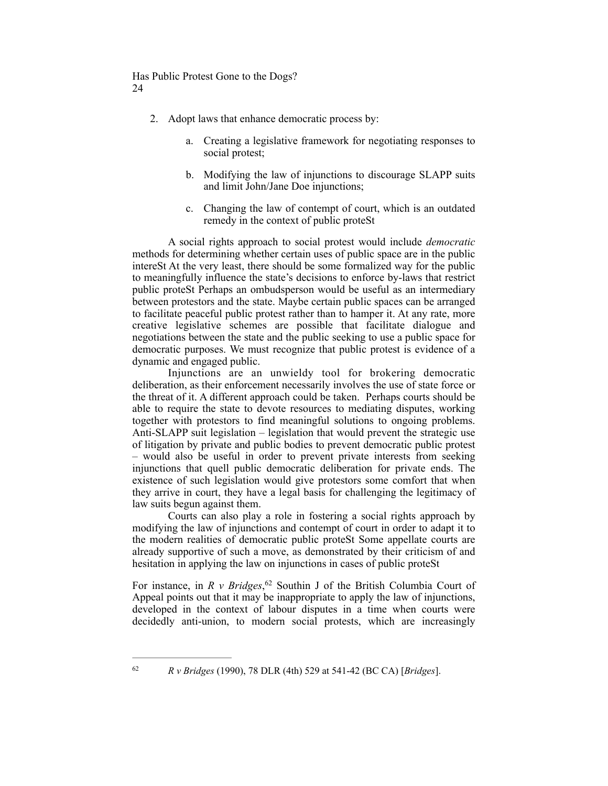- 2. Adopt laws that enhance democratic process by:
	- a. Creating a legislative framework for negotiating responses to social protest;
	- b. Modifying the law of injunctions to discourage SLAPP suits and limit John/Jane Doe injunctions;
	- c. Changing the law of contempt of court, which is an outdated remedy in the context of public proteSt

A social rights approach to social protest would include *democratic* methods for determining whether certain uses of public space are in the public intereSt At the very least, there should be some formalized way for the public to meaningfully influence the state's decisions to enforce by-laws that restrict public proteSt Perhaps an ombudsperson would be useful as an intermediary between protestors and the state. Maybe certain public spaces can be arranged to facilitate peaceful public protest rather than to hamper it. At any rate, more creative legislative schemes are possible that facilitate dialogue and negotiations between the state and the public seeking to use a public space for democratic purposes. We must recognize that public protest is evidence of a dynamic and engaged public.

Injunctions are an unwieldy tool for brokering democratic deliberation, as their enforcement necessarily involves the use of state force or the threat of it. A different approach could be taken. Perhaps courts should be able to require the state to devote resources to mediating disputes, working together with protestors to find meaningful solutions to ongoing problems. Anti-SLAPP suit legislation – legislation that would prevent the strategic use of litigation by private and public bodies to prevent democratic public protest – would also be useful in order to prevent private interests from seeking injunctions that quell public democratic deliberation for private ends. The existence of such legislation would give protestors some comfort that when they arrive in court, they have a legal basis for challenging the legitimacy of law suits begun against them.

Courts can also play a role in fostering a social rights approach by modifying the law of injunctions and contempt of court in order to adapt it to the modern realities of democratic public proteSt Some appellate courts are already supportive of such a move, as demonstrated by their criticism of and hesitation in applying the law on injunctions in cases of public proteSt

For instance, in  $R \vee$  Bridges, <sup>62</sup> Southin J of the British Columbia Court of Appeal points out that it may be inappropriate to apply the law of injunctions, developed in the context of labour disputes in a time when courts were decidedly anti-union, to modern social protests, which are increasingly

*R v Bridges* (1990), 78 DLR (4th) 529 at 541-42 (BC CA) [*Bridges*]. <sup>62</sup>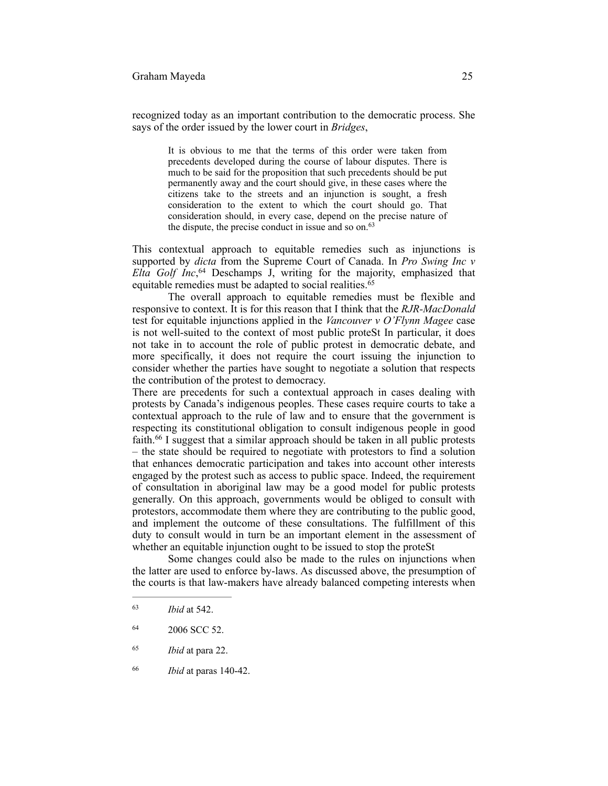## Graham Mayeda 25

recognized today as an important contribution to the democratic process. She says of the order issued by the lower court in *Bridges*,

> It is obvious to me that the terms of this order were taken from precedents developed during the course of labour disputes. There is much to be said for the proposition that such precedents should be put permanently away and the court should give, in these cases where the citizens take to the streets and an injunction is sought, a fresh consideration to the extent to which the court should go. That consideration should, in every case, depend on the precise nature of the dispute, the precise conduct in issue and so on.<sup>63</sup>

This contextual approach to equitable remedies such as injunctions is supported by *dicta* from the Supreme Court of Canada. In *Pro Swing Inc v Elta Golf Inc*,<sup>64</sup> Deschamps J, writing for the majority, emphasized that equitable remedies must be adapted to social realities.<sup>65</sup>

The overall approach to equitable remedies must be flexible and responsive to context. It is for this reason that I think that the *RJR-MacDonald*  test for equitable injunctions applied in the *Vancouver v O'Flynn Magee* case is not well-suited to the context of most public proteSt In particular, it does not take in to account the role of public protest in democratic debate, and more specifically, it does not require the court issuing the injunction to consider whether the parties have sought to negotiate a solution that respects the contribution of the protest to democracy.

There are precedents for such a contextual approach in cases dealing with protests by Canada's indigenous peoples. These cases require courts to take a contextual approach to the rule of law and to ensure that the government is respecting its constitutional obligation to consult indigenous people in good faith.  $66$  I suggest that a similar approach should be taken in all public protests – the state should be required to negotiate with protestors to find a solution that enhances democratic participation and takes into account other interests engaged by the protest such as access to public space. Indeed, the requirement of consultation in aboriginal law may be a good model for public protests generally. On this approach, governments would be obliged to consult with protestors, accommodate them where they are contributing to the public good, and implement the outcome of these consultations. The fulfillment of this duty to consult would in turn be an important element in the assessment of whether an equitable injunction ought to be issued to stop the proteSt

Some changes could also be made to the rules on injunctions when the latter are used to enforce by-laws. As discussed above, the presumption of the courts is that law-makers have already balanced competing interests when

- 2006 SCC 52. <sup>64</sup>
- *Ibid* at para 22. <sup>65</sup>
- *Ibid* at paras 140-42. <sup>66</sup>

*Ibid* at 542. <sup>63</sup>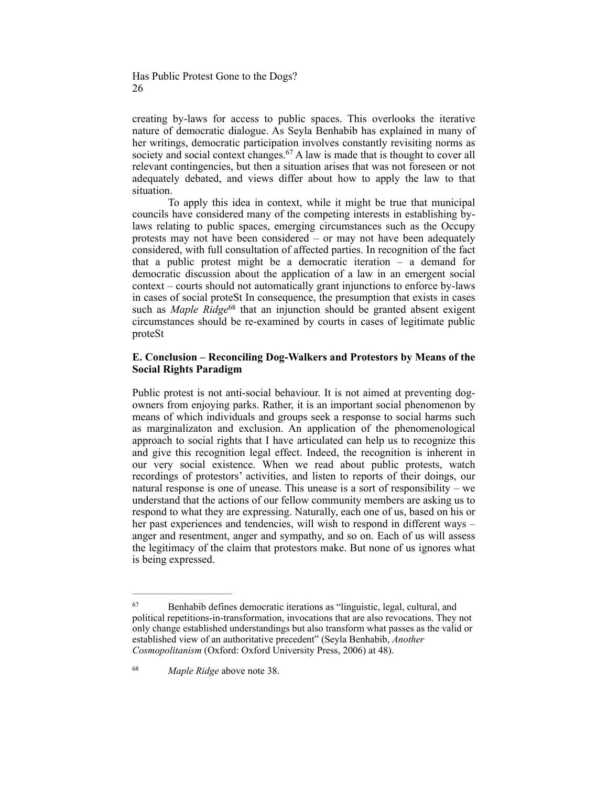creating by-laws for access to public spaces. This overlooks the iterative nature of democratic dialogue. As Seyla Benhabib has explained in many of her writings, democratic participation involves constantly revisiting norms as society and social context changes.<sup> $67$ </sup> A law is made that is thought to cover all relevant contingencies, but then a situation arises that was not foreseen or not adequately debated, and views differ about how to apply the law to that situation.

To apply this idea in context, while it might be true that municipal councils have considered many of the competing interests in establishing bylaws relating to public spaces, emerging circumstances such as the Occupy protests may not have been considered – or may not have been adequately considered, with full consultation of affected parties. In recognition of the fact that a public protest might be a democratic iteration – a demand for democratic discussion about the application of a law in an emergent social context – courts should not automatically grant injunctions to enforce by-laws in cases of social proteSt In consequence, the presumption that exists in cases such as *Maple Ridge*<sup>68</sup> that an injunction should be granted absent exigent circumstances should be re-examined by courts in cases of legitimate public proteSt

# **E. Conclusion – Reconciling Dog-Walkers and Protestors by Means of the Social Rights Paradigm**

Public protest is not anti-social behaviour. It is not aimed at preventing dogowners from enjoying parks. Rather, it is an important social phenomenon by means of which individuals and groups seek a response to social harms such as marginalizaton and exclusion. An application of the phenomenological approach to social rights that I have articulated can help us to recognize this and give this recognition legal effect. Indeed, the recognition is inherent in our very social existence. When we read about public protests, watch recordings of protestors' activities, and listen to reports of their doings, our natural response is one of unease. This unease is a sort of responsibility – we understand that the actions of our fellow community members are asking us to respond to what they are expressing. Naturally, each one of us, based on his or her past experiences and tendencies, will wish to respond in different ways anger and resentment, anger and sympathy, and so on. Each of us will assess the legitimacy of the claim that protestors make. But none of us ignores what is being expressed.

<sup>&</sup>lt;sup>67</sup> Benhabib defines democratic iterations as "linguistic, legal, cultural, and political repetitions-in-transformation, invocations that are also revocations. They not only change established understandings but also transform what passes as the valid or established view of an authoritative precedent" (Seyla Benhabib, *Another Cosmopolitanism* (Oxford: Oxford University Press, 2006) at 48).